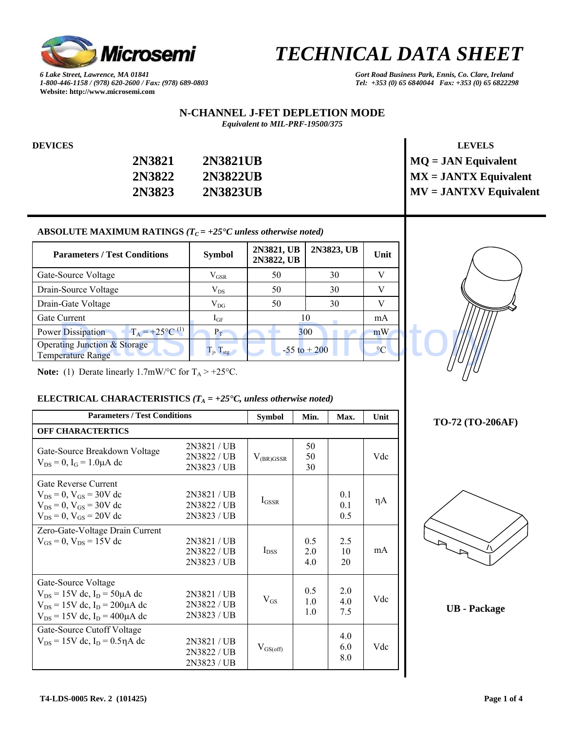

*6 Lake Street, Lawrence, MA 01841 Gort Road Business Park, Ennis, Co. Clare, Ireland 1-800-446-1158 / (978) 620-2600 / Fax: (978) 689-0803 Tel: +353 (0) 65 6840044 Fax: +353 (0) 65 6822298*  **Website: http://www.microsemi.com** 

#### **N-CHANNEL J-FET DEPLETION MODE**  *Equivalent to MIL-PRF-19500/375*

| 2N3821 | 2N3821UB |
|--------|----------|
| 2N3822 | 2N3822UB |
| 2N3823 | 2N3823UB |

# **DEVICES** LEVELS **MQ = JAN Equivalent**  $MX = JANTX$  Equivalent  $MV = JANTXV$  Equivalent

### ABSOLUTE MAXIMUM RATINGS  $(T_C = +25^{\circ}C \text{ unless otherwise noted})$

| <b>Parameters / Test Conditions</b>                                 | <b>Symbol</b>            | 2N3821, UB<br>2N3822, UB | 2N3823, UB      | Unit        |  |
|---------------------------------------------------------------------|--------------------------|--------------------------|-----------------|-------------|--|
| Gate-Source Voltage                                                 | $V_{GSR}$                | 50                       | 30              |             |  |
| Drain-Source Voltage                                                | $V_{DS}$                 | 50                       | 30              |             |  |
| Drain-Gate Voltage                                                  | $V_{DG}$                 | 50                       | 30              |             |  |
| Gate Current                                                        | $I_{GF}$                 |                          | 10              | mA          |  |
| $T_A = +25$ °C <sup>(1)</sup><br><b>Power Dissipation</b>           | $P_T$                    |                          | 300             | mW          |  |
| <b>Operating Junction &amp; Storage</b><br><b>Temperature Range</b> | $T_i$ , $T_{\text{stg}}$ |                          | $-55$ to $+200$ | $^{\circ}C$ |  |

**Note:** (1) Derate linearly 1.7mW/ $\degree$ C for T<sub>A</sub> > +25 $\degree$ C.

## **ELECTRICAL CHARACTERISTICS**  $(T_A = +25^\circ C,$  unless otherwise noted)

| <b>Parameters / Test Conditions</b>                                                                                                                 | <b>Symbol</b>                           | Min.           | Max.                         | Unit                         |     |  |  |
|-----------------------------------------------------------------------------------------------------------------------------------------------------|-----------------------------------------|----------------|------------------------------|------------------------------|-----|--|--|
| <b>OFF CHARACTERTICS</b>                                                                                                                            |                                         |                |                              |                              |     |  |  |
| Gate-Source Breakdown Voltage<br>$V_{DS} = 0$ , $I_G = 1.0 \mu A$ dc                                                                                | 2N3821/UB<br>2N3822 / UB<br>2N3823 / UB | $V_{(BR)GSSR}$ | 50<br>50<br>30               |                              | Vdc |  |  |
| Gate Reverse Current<br>$V_{DS} = 0$ , $V_{GS} = 30V$ dc<br>$V_{DS} = 0$ , $V_{GS} = 30V$ dc<br>$V_{DS} = 0$ , $V_{GS} = 20V$ dc                    | 2N3821/UB<br>2N3822 / UB<br>2N3823 / UB | $I_{GSSR}$     |                              | 0.1<br>0 <sub>1</sub><br>0.5 | ηA  |  |  |
| Zero-Gate-Voltage Drain Current<br>$V_{GS} = 0$ , $V_{DS} = 15V$ dc                                                                                 | 2N3821 / UB<br>2N3822 / UB<br>2N3823/UB | $I_{DSS}$      | 0.5<br>20<br>4.0             | 2.5<br>10<br>20              | mA  |  |  |
| Gate-Source Voltage<br>$V_{DS} = 15V$ dc, $I_D = 50 \mu A$ dc<br>$V_{DS} = 15V$ dc, $I_D = 200 \mu A$ dc<br>$V_{DS} = 15V$ dc, $I_D = 400 \mu A$ dc | 2N3821/UB<br>2N3822 / UB<br>2N3823 / UB | $V_{GS}$       | 0.5<br>1 <sub>0</sub><br>1.0 | 2.0<br>40<br>7.5             | Vdc |  |  |
| Gate-Source Cutoff Voltage<br>$V_{DS} = 15V$ dc, $I_D = 0.5 \eta A$ dc                                                                              | 2N3821/UB<br>2N3822 / UB<br>2N3823 / UB | $V_{GS(off)}$  |                              | 4.0<br>6.0<br>8.0            | Vdc |  |  |



# **TO-72 (TO-206AF)**



**UB - Package**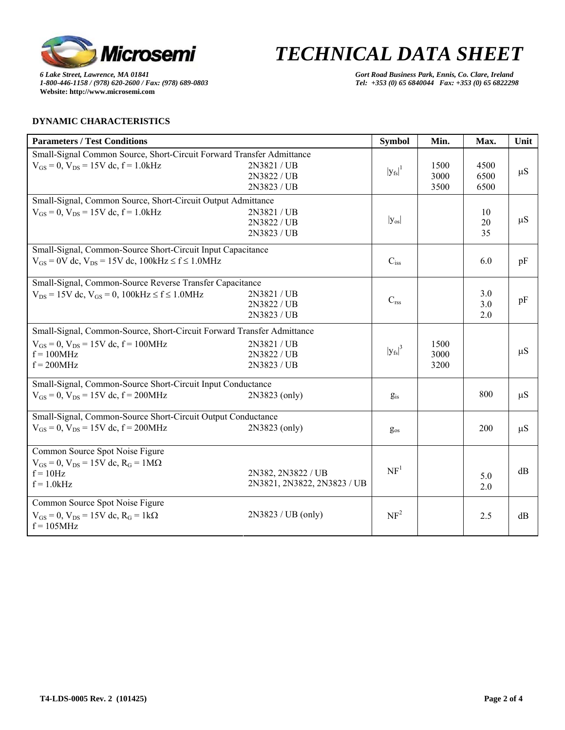

*6 Lake Street, Lawrence, MA 01841 Gort Road Business Park, Ennis, Co. Clare, Ireland 1-800-446-1158 / (978) 620-2600 / Fax: (978) 689-0803 Tel: +353 (0) 65 6840044 Fax: +353 (0) 65 6822298*  **Website: http://www.microsemi.com** 

# **DYNAMIC CHARACTERISTICS**

| <b>Parameters / Test Conditions</b>                                    |                             | <b>Symbol</b>   | Min. | Max. | Unit    |
|------------------------------------------------------------------------|-----------------------------|-----------------|------|------|---------|
| Small-Signal Common Source, Short-Circuit Forward Transfer Admittance  |                             |                 |      |      |         |
| $V_{GS} = 0$ , $V_{DS} = 15V$ dc, $f = 1.0kHz$                         | 2N3821 / UB                 | $ y_{fs} ^1$    | 1500 | 4500 | $\mu S$ |
|                                                                        | 2N3822 / UB                 |                 | 3000 | 6500 |         |
|                                                                        | 2N3823 / UB                 |                 | 3500 | 6500 |         |
| Small-Signal, Common Source, Short-Circuit Output Admittance           |                             |                 |      |      |         |
| $V_{GS} = 0$ , $V_{DS} = 15V$ dc, $f = 1.0kHz$                         | 2N3821 / UB                 |                 |      | 10   |         |
|                                                                        | 2N3822 / UB                 | $ y_{os} $      |      | 20   | $\mu S$ |
|                                                                        | 2N3823 / UB                 |                 |      | 35   |         |
| Small-Signal, Common-Source Short-Circuit Input Capacitance            |                             |                 |      |      |         |
| $V_{GS} = 0V$ dc, $V_{DS} = 15V$ dc, $100kHz \le f \le 1.0MHz$         |                             | $C_{iss}$       |      | 6.0  | pF      |
|                                                                        |                             |                 |      |      |         |
| Small-Signal, Common-Source Reverse Transfer Capacitance               |                             |                 |      |      |         |
| $V_{DS} = 15V$ dc, $V_{GS} = 0$ , $100kHz \le f \le 1.0MHz$            | 2N3821 / UB                 | $C_{\rm rss}$   |      | 3.0  | pF      |
|                                                                        | 2N3822 / UB                 |                 |      | 3.0  |         |
|                                                                        | 2N3823 / UB                 |                 |      | 2.0  |         |
| Small-Signal, Common-Source, Short-Circuit Forward Transfer Admittance |                             |                 |      |      |         |
| $V_{GS} = 0$ , $V_{DS} = 15V$ dc, $f = 100MHz$                         | 2N3821 / UB                 |                 | 1500 |      |         |
| $f = 100MHz$                                                           | 2N3822 / UB                 | $ y_{fs} ^3$    | 3000 |      | $\mu S$ |
| $f = 200$ MHz                                                          | 2N3823 / UB                 |                 | 3200 |      |         |
| Small-Signal, Common-Source Short-Circuit Input Conductance            |                             |                 |      |      |         |
| $V_{GS} = 0$ , $V_{DS} = 15V$ dc, $f = 200MHz$                         | 2N3823 (only)               | $g_{is}$        |      | 800  | $\mu S$ |
|                                                                        |                             |                 |      |      |         |
| Small-Signal, Common-Source Short-Circuit Output Conductance           |                             |                 |      |      |         |
| $V_{GS} = 0$ , $V_{DS} = 15V$ dc, $f = 200MHz$                         | 2N3823 (only)               | $g_{os}$        |      | 200  | $\mu S$ |
|                                                                        |                             |                 |      |      |         |
| Common Source Spot Noise Figure                                        |                             |                 |      |      |         |
| $V_{GS} = 0$ , $V_{DS} = 15V$ dc, $R_G = 1M\Omega$                     |                             | NF <sup>1</sup> |      |      |         |
| $f = 10Hz$                                                             | 2N382, 2N3822 / UB          |                 |      | 5.0  | dB      |
| $f = 1.0$ kHz                                                          | 2N3821, 2N3822, 2N3823 / UB |                 |      | 2.0  |         |
| Common Source Spot Noise Figure                                        |                             |                 |      |      |         |
| $V_{GS} = 0$ , $V_{DS} = 15V$ dc, $R_G = 1k\Omega$                     | $2N3823 / UB$ (only)        | NF <sup>2</sup> |      | 2.5  | dB      |
| $f = 105 MHz$                                                          |                             |                 |      |      |         |
|                                                                        |                             |                 |      |      |         |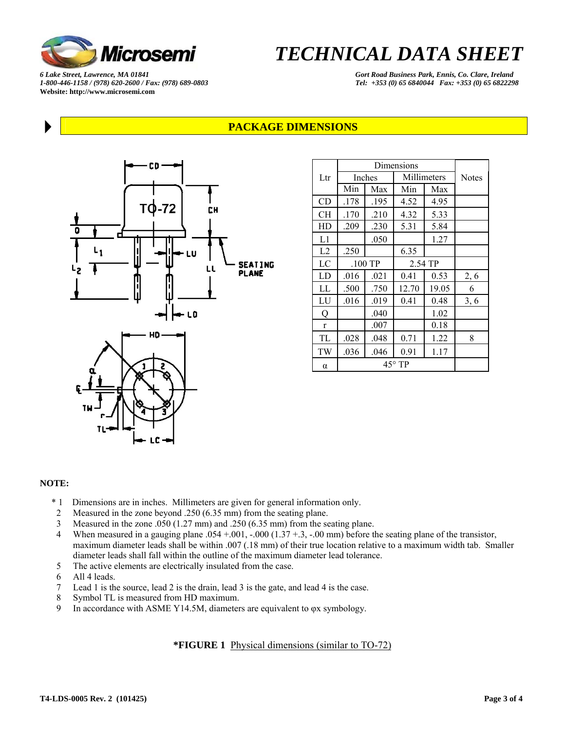

*6 Lake Street, Lawrence, MA 01841 Gort Road Business Park, Ennis, Co. Clare, Ireland 1-800-446-1158 / (978) 620-2600 / Fax: (978) 689-0803 Tel: +353 (0) 65 6840044 Fax: +353 (0) 65 6822298*  **Website: http://www.microsemi.com** 

# **PACKAGE DIMENSIONS**



| Dimensions   |                 |      |              |       |              |
|--------------|-----------------|------|--------------|-------|--------------|
| Ltr          | <b>Inches</b>   |      | Millimeters  |       | <b>Notes</b> |
|              | Min             | Max  | Min          | Max   |              |
| CD           | .178            | .195 | 4.52         | 4.95  |              |
| CН           | .170            | .210 | 4.32         | 5.33  |              |
| HD           | .209            | .230 | 5.31         | 5.84  |              |
| L1           |                 | .050 |              | 1.27  |              |
| L2           | .250            |      | 6.35         |       |              |
| LC           | $.100$ TP       |      | 2.54 TP      |       |              |
| LD           | .016            | .021 | 0.41<br>0.53 |       | 2, 6         |
| LL           | .500            | .750 | 12.70        | 19.05 | 6            |
| LU           | .016            | .019 | 0.41         | 0.48  | 3, 6         |
| Q            |                 | .040 |              | 1.02  |              |
| $\mathbf{r}$ |                 | .007 |              | 0.18  |              |
| TL           | .028            | .048 | 0.71         | 1.22  | 8            |
| TW           | .036            | .046 | 0.91         | 1.17  |              |
| $\alpha$     | $45^{\circ}$ TP |      |              |       |              |

#### **NOTE:**

- \* 1 Dimensions are in inches. Millimeters are given for general information only.
- 2 Measured in the zone beyond .250 (6.35 mm) from the seating plane.
- 3 Measured in the zone .050 (1.27 mm) and .250 (6.35 mm) from the seating plane.
- 4 When measured in a gauging plane  $.054 + .001$ ,  $-.000 (1.37 + .3, -.00$  mm) before the seating plane of the transistor, maximum diameter leads shall be within .007 (.18 mm) of their true location relative to a maximum width tab. Smaller diameter leads shall fall within the outline of the maximum diameter lead tolerance.
- 5 The active elements are electrically insulated from the case.
- 6 All 4 leads.
- 7 Lead 1 is the source, lead 2 is the drain, lead 3 is the gate, and lead 4 is the case.
- 8 Symbol TL is measured from HD maximum.
- 9 In accordance with ASME Y14.5M, diameters are equivalent to φx symbology.

# **\*FIGURE 1** Physical dimensions (similar to TO-72)